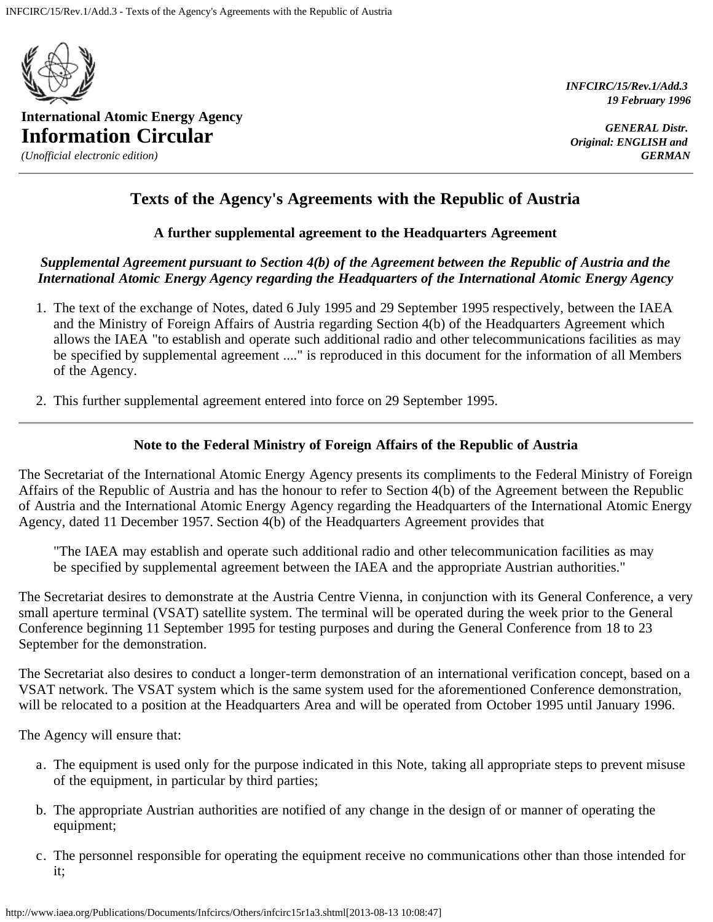

**International Atomic Energy Agency Information Circular**

*(Unofficial electronic edition)*

*INFCIRC/15/Rev.1/Add.3 19 February 1996*

*GENERAL Distr. Original: ENGLISH and GERMAN*

# **Texts of the Agency's Agreements with the Republic of Austria**

### **A further supplemental agreement to the Headquarters Agreement**

## *Supplemental Agreement pursuant to Section 4(b) of the Agreement between the Republic of Austria and the International Atomic Energy Agency regarding the Headquarters of the International Atomic Energy Agency*

- 1. The text of the exchange of Notes, dated 6 July 1995 and 29 September 1995 respectively, between the IAEA and the Ministry of Foreign Affairs of Austria regarding Section 4(b) of the Headquarters Agreement which allows the IAEA "to establish and operate such additional radio and other telecommunications facilities as may be specified by supplemental agreement ...." is reproduced in this document for the information of all Members of the Agency.
- 2. This further supplemental agreement entered into force on 29 September 1995.

### **Note to the Federal Ministry of Foreign Affairs of the Republic of Austria**

The Secretariat of the International Atomic Energy Agency presents its compliments to the Federal Ministry of Foreign Affairs of the Republic of Austria and has the honour to refer to Section 4(b) of the Agreement between the Republic of Austria and the International Atomic Energy Agency regarding the Headquarters of the International Atomic Energy Agency, dated 11 December 1957. Section 4(b) of the Headquarters Agreement provides that

"The IAEA may establish and operate such additional radio and other telecommunication facilities as may be specified by supplemental agreement between the IAEA and the appropriate Austrian authorities."

The Secretariat desires to demonstrate at the Austria Centre Vienna, in conjunction with its General Conference, a very small aperture terminal (VSAT) satellite system. The terminal will be operated during the week prior to the General Conference beginning 11 September 1995 for testing purposes and during the General Conference from 18 to 23 September for the demonstration.

The Secretariat also desires to conduct a longer-term demonstration of an international verification concept, based on a VSAT network. The VSAT system which is the same system used for the aforementioned Conference demonstration, will be relocated to a position at the Headquarters Area and will be operated from October 1995 until January 1996.

The Agency will ensure that:

- a. The equipment is used only for the purpose indicated in this Note, taking all appropriate steps to prevent misuse of the equipment, in particular by third parties;
- b. The appropriate Austrian authorities are notified of any change in the design of or manner of operating the equipment;
- c. The personnel responsible for operating the equipment receive no communications other than those intended for it;